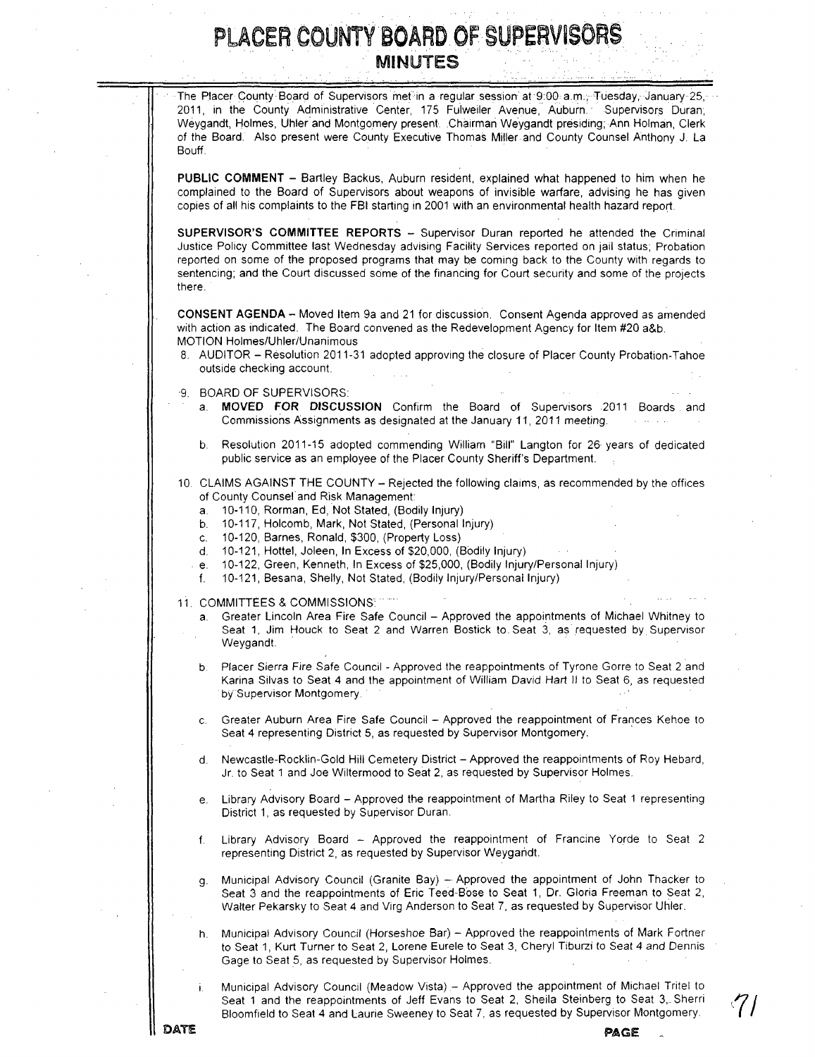The Placer County Board of Supervisors met in a regular session at 9:00 a.m., Tuesday, January 25, 2011, in the County Administrative Center, 175 Fulweiler Avenue, Auburn. Supervisors Duran, Weygandt, Holmes, Uhler and Montgomery present .Chairman Weygandt presiding; Ann Holman, Clerk of the Board. Also present were County Executive Thomas Miller and County Counsel Anthony J. La Bouff.

PUBLIC COMMENT - Bartley Backus, Auburn resident, explained what happened to him when he complained to the Board of Supervisors about weapons of invisible warfare, advising he has given copies of all his complaints to the FBI starting in 2001 with an environmental health hazard report.

SUPERVISOR'S COMMITTEE REPORTS - Supervisor Duran reported he attended the Criminal Justice Policy Committee last Wednesday advising Facility Services reported on jail status; Probation reported on some of the proposed programs that may be coming back to the County with regards to sentencing; and the Court discussed some of the financing for Court security and some of the projects there.

CONSENT AGENDA - Moved Item 9a and 21 for discussion. Consent Agenda approved as amended with action as indicated. The Board convened as the Redevelopment Agency for Item #20 a&b. MOTION Holmes/Uhler/Unanimous

- 8. AUDITOR Resolution 2011-31 adopted approving the closure of Placer County Probation-Tahoe outside checking account.
- 9. BOARD OF SUPERVISORS:
	- a. MOVED FOR DISCUSSION Confirm the Board of Supervisors 2011 Boards and Commissions Assignments as designated at the January 11, 2011 meeting.
	- b. Resolution 2011-15 adopted commending William "Bill" Langton for 26 years of dedicated public service as an employee of the Placer County Sheriff's Department.
- 10. CLAIMS AGAINST THE COUNTY Rejected the following claims, as recommended by the offices of County Counsel and Risk Management:
	- a. 10-110, Rorman, Ed, Not Stated, (Bodily Injury)
	- b. 10-117, Holcomb, Mark, Not Stated, (Personal Injury)
	- 10-120, Barnes, Ronald, \$300, (Property Loss)
	- d. 10-121, Hottel, Joleen, In Excess of \$20,000, (Bodily Injury)
	- e. 10-122, Green, Kenneth, In Excess of \$25,000, (Bodily Injury/Personal Injury)
	- f. 10-121, Besana, Shelly, Not Stated, (Bodily Injury/Personal Injury)
- 11. COMMITTEES & COMMISSIONS·
	- a. Greater Lincoln Area Fire Safe Council Approved the appointments of Michael Whitney to Seat 1, Jim Houck to Seat 2 and Warren Bostick to. Seat 3, as· requested by Supervisor Weygandt.
	- b. Placer Sierra Fire Safe Council Approved the reappointments of Tyrone Gorre to Seat 2 and Karina Silvas to Seat 4 and the appointment of William David Hart II to Seat 6, as requested by Supervisor Montgomery.
	- c. Greater Auburn Area Fire Safe Council Approved the reappointment of Frances Kehoe to Seat 4 representing District 5, as requested by Supervisor Montgomery. .
	- Newcastle-Rocklin-Gold Hill Cemetery District Approved the reappointments of Roy Hebard, Jr. to Seat 1 and Joe Wiltermood to Seat 2, as requested by Supervisor Holmes.
	- e. Library Advisory Board Approved the reappointment of Martha Riley to Seat 1 representing District 1, as requested by Supervisor Duran.
	- f. Library Advisory Board Approved the reappointment of Francine Yorde to Seat 2 representing District 2, as requested by Supervisor Weygandt.
	- g. Municipal Advisory Council (Granite Bay) Approved the appointment of John Thacker to Seat 3 and the reappointments of Eric Teed-Bose to Seat 1, Dr. Gloria Freeman to Seat 2, Walter Pekarsky to Seat 4 and Virg Anderson to Seat 7, as requested by Supervisor Uhler.
	- h. Municipal Advisory Council (Horseshoe Bar) Approved the reappointments of Mark Fortner to Seat 1, Kurt Turner to Seat 2, Lorene Eurele to Seat 3, Cheryl Tiburzi to Seat 4 and Dennis Gage to Seat 5, as requested by Supervisor Holmes.
	- Municipal Advisory Council (Meadow Vista) Approved the appointment of Michael Tritel to Seat 1 and the reappointments of Jeff Evans to Seat 2, Sheila Steinberg to Seat 3, Sherri Bloomfield to Seat 4 and Laurie Sweeney to Seat 7, as requested by Supervisor Montgomery.

DATE

PAGE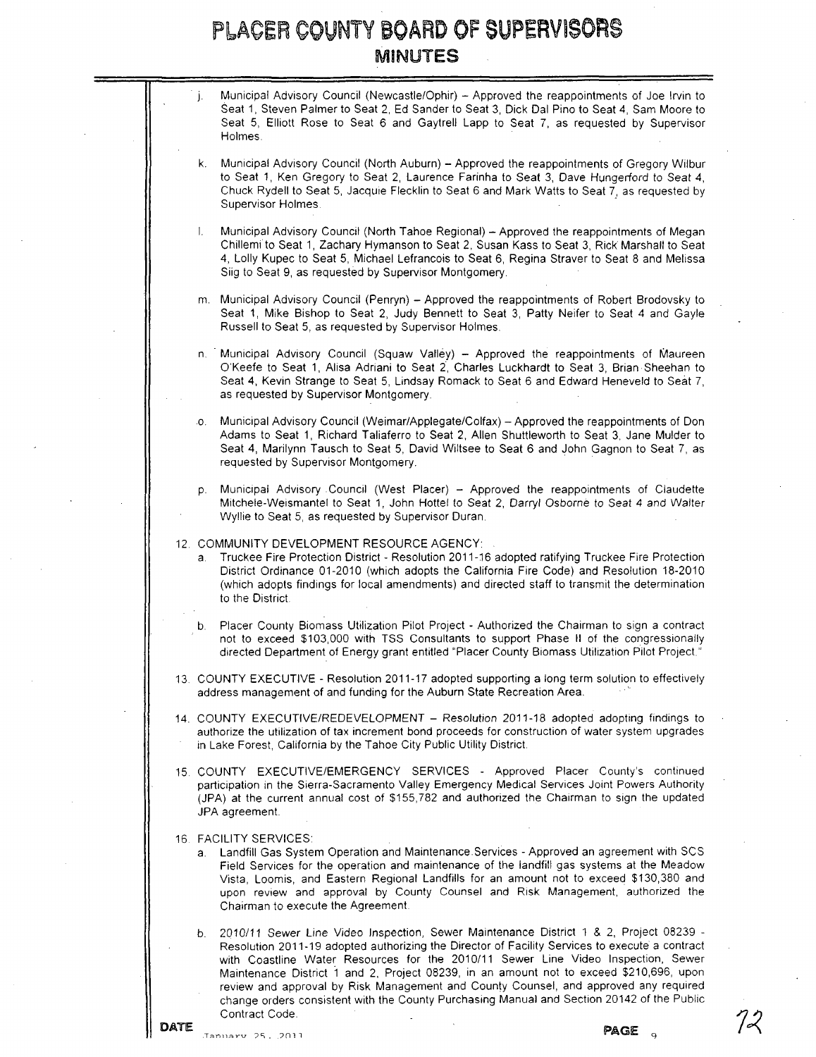|  | j.  | Municipal Advisory Council (Newcastle/Ophir) - Approved the reappointments of Joe Irvin to<br>Seat 1, Steven Palmer to Seat 2, Ed Sander to Seat 3, Dick Dal Pino to Seat 4, Sam Moore to<br>Seat 5, Elliott Rose to Seat 6 and Gaytrell Lapp to Seat 7, as requested by Supervisor<br>Holmes.                                                                                                                                                                                                                                                                                   |
|--|-----|----------------------------------------------------------------------------------------------------------------------------------------------------------------------------------------------------------------------------------------------------------------------------------------------------------------------------------------------------------------------------------------------------------------------------------------------------------------------------------------------------------------------------------------------------------------------------------|
|  | k.  | Municipal Advisory Council (North Auburn) - Approved the reappointments of Gregory Wilbur<br>to Seat 1, Ken Gregory to Seat 2, Laurence Farinha to Seat 3, Dave Hungerford to Seat 4,<br>Chuck Rydell to Seat 5, Jacquie Flecklin to Seat 6 and Mark Watts to Seat 7, as requested by<br>Supervisor Holmes.                                                                                                                                                                                                                                                                      |
|  | 1.  | Municipal Advisory Council (North Tahoe Regional) - Approved the reappointments of Megan<br>Chillemi to Seat 1, Zachary Hymanson to Seat 2, Susan Kass to Seat 3, Rick Marshall to Seat<br>4, Lolly Kupec to Seat 5, Michael Lefrancois to Seat 6, Regina Straver to Seat 8 and Melissa<br>Siig to Seat 9, as requested by Supervisor Montgomery.                                                                                                                                                                                                                                |
|  |     | m. Municipal Advisory Council (Penryn) - Approved the reappointments of Robert Brodovsky to<br>Seat 1, Mike Bishop to Seat 2, Judy Bennett to Seat 3, Patty Neifer to Seat 4 and Gayle<br>Russell to Seat 5, as requested by Supervisor Holmes.                                                                                                                                                                                                                                                                                                                                  |
|  |     | n. Municipal Advisory Council (Squaw Valley) - Approved the reappointments of Maureen<br>O'Keefe to Seat 1, Alisa Adriani to Seat 2, Charles Luckhardt to Seat 3, Brian Sheehan to<br>Seat 4, Kevin Strange to Seat 5, Lindsay Romack to Seat 6 and Edward Heneveld to Seat 7,<br>as requested by Supervisor Montgomery.                                                                                                                                                                                                                                                         |
|  | .0. | Municipal Advisory Council (Weimar/Applegate/Colfax) - Approved the reappointments of Don<br>Adams to Seat 1, Richard Taliaferro to Seat 2, Allen Shuttleworth to Seat 3, Jane Mulder to<br>Seat 4, Marilynn Tausch to Seat 5, David Wiltsee to Seat 6 and John Gagnon to Seat 7, as<br>requested by Supervisor Montgomery.                                                                                                                                                                                                                                                      |
|  | p.  | Municipal Advisory Council (West Placer) - Approved the reappointments of Claudette<br>Mitchele-Weismantel to Seat 1, John Hottel to Seat 2, Darryl Osborne to Seat 4 and Walter<br>Wyllie to Seat 5, as requested by Supervisor Duran.                                                                                                                                                                                                                                                                                                                                          |
|  | a.  | 12. COMMUNITY DEVELOPMENT RESOURCE AGENCY:<br>Truckee Fire Protection District - Resolution 2011-16 adopted ratifying Truckee Fire Protection<br>District Ordinance 01-2010 (which adopts the California Fire Code) and Resolution 18-2010<br>(which adopts findings for local amendments) and directed staff to transmit the determination<br>to the District.                                                                                                                                                                                                                  |
|  | b.  | Placer County Biomass Utilization Pilot Project - Authorized the Chairman to sign a contract<br>not to exceed \$103,000 with TSS Consultants to support Phase II of the congressionally<br>directed Department of Energy grant entitled "Placer County Biomass Utilization Pilot Project."                                                                                                                                                                                                                                                                                       |
|  |     | 13. COUNTY EXECUTIVE - Resolution 2011-17 adopted supporting a long term solution to effectively<br>address management of and funding for the Auburn State Recreation Area.                                                                                                                                                                                                                                                                                                                                                                                                      |
|  |     | 14. COUNTY EXECUTIVE/REDEVELOPMENT - Resolution 2011-18 adopted adopting findings to<br>authorize the utilization of tax increment bond proceeds for construction of water system upgrades<br>in Lake Forest, California by the Tahoe City Public Utility District.                                                                                                                                                                                                                                                                                                              |
|  |     | 15. COUNTY EXECUTIVE/EMERGENCY SERVICES - Approved Placer County's continued<br>participation in the Sierra-Sacramento Valley Emergency Medical Services Joint Powers Authority<br>(JPA) at the current annual cost of \$155,782 and authorized the Chairman to sign the updated<br>JPA agreement.                                                                                                                                                                                                                                                                               |
|  |     | 16. FACILITY SERVICES:<br>a. Landfill Gas System Operation and Maintenance Services - Approved an agreement with SCS<br>Field Services for the operation and maintenance of the landfill gas systems at the Meadow<br>Vista, Loomis, and Eastern Regional Landfills for an amount not to exceed \$130,380 and<br>upon review and approval by County Counsel and Risk Management, authorized the<br>Chairman to execute the Agreement.                                                                                                                                            |
|  | b.  | 2010/11 Sewer Line Video Inspection, Sewer Maintenance District 1 & 2, Project 08239 -<br>Resolution 2011-19 adopted authorizing the Director of Facility Services to execute a contract<br>with Coastline Water Resources for the 2010/11 Sewer Line Video Inspection, Sewer<br>Maintenance District 1 and 2, Project 08239, in an amount not to exceed \$210,696, upon<br>review and approval by Risk Management and County Counsel, and approved any required<br>change orders consistent with the County Purchasing Manual and Section 20142 of the Public<br>Contract Code. |

 $72$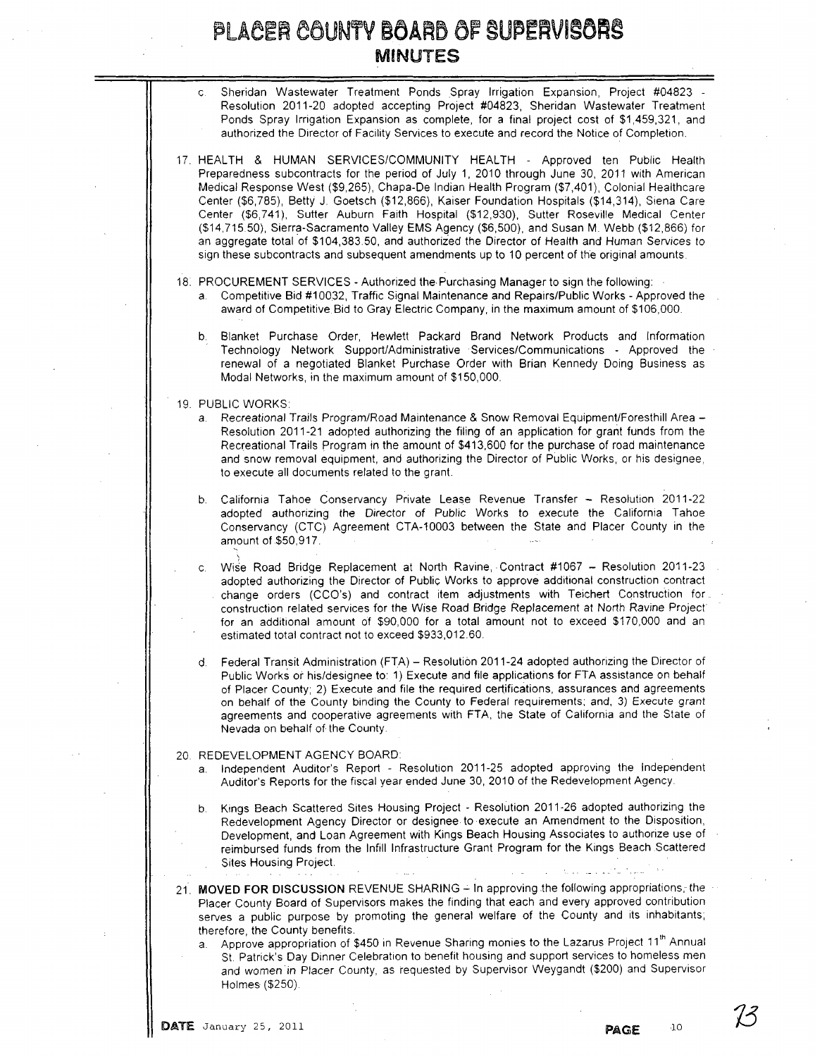| c. Sheridan Wastewater Treatment Ponds Spray Irrigation Expansion, Project #04823 -          |
|----------------------------------------------------------------------------------------------|
| Resolution 2011-20 adopted accepting Project #04823, Sheridan Wastewater Treatment           |
| Ponds Spray Irrigation Expansion as complete, for a final project cost of \$1,459,321, and   |
| authorized the Director of Facility Services to execute and record the Notice of Completion. |

17. HEALTH & HUMAN SERVICES/COMMUNITY HEALTH - Approved ten Public Health Preparedness subcontracts for the period of July 1, 2010 through June 30, 2011 with American Medical Response West (\$9,265), Chapa-De Indian Health Program (\$7,401), Colonial Healthcare Center (\$6,785), Betty J. Goetsch (\$12,866), Kaiser Foundation Hospitals (\$14,314), Siena Care Center (\$6,741), Sutter Auburn Faith Hospital (\$12,930), Sutter Roseville Medical Center (\$14,71550), Sierra-Sacramento Valley EMS Agency (\$6,500), and Susan M. Webb (\$12,866) for an aggregate total of \$104,383.50, and authorized the Director of Health and Human Services to sign these subcontracts and subsequent amendments up to 10 percent of the original amounts

- 18. PROCUREMENT SERVICES Authorized the Purchasing Manager to sign the following:
	- a. Competitive Bid #10032, Traffic Signal Maintenance and Repairs/Public Works Approved the award of Competitive Bid to Gray Electric Company, in the maximum amount of \$106,000.
	- b. Blanket Purchase Order, Hewlett Packard Brand Network Products and Information Technology Network Support/Administrative Services/Communications - Approved the renewal of a negotiated Blanket Purchase Order with Brian Kennedy Doing Business as Modal Networks, in the maximum amount of \$150,000.
- 19. PUBLIC WORKS:
	- a. Recreational Trails Program/Road Maintenance & Snow Removal Equipment/Foresthill Area -Resolution 2011-21 adopted authorizing the filing of an application for grant funds from the Recreational Trails Program in the amount of \$413,600 for the purchase of road maintenance and snow removal equipment, and authorizing the Director of Public Works, or his designee, to execute all documents related to the grant.
	- b. California Tahoe Conservancy Private Lease Revenue Transfer Resolution 2011-22 adopted authorizing the Director of Public Works to execute the California Tahoe Conservancy (CTC) Agreement CTA-10003 between the State and Placer County in the amount of \$50,917.  $\mathbf{C}$
	- Wise Road Bridge Replacement at North Ravine, Contract #1067 Resolution 2011-23 adopted authorizing the Director of Public Works to approve additional construction contract change orders (CCO's) and contract item adjustments with Teichert Construction for .. construction related services for the Wise Road Bridge Replacement at North Ravine Project for an additional amount of \$90,000 for a total amount not to exceed \$170,000 and an estimated total contract not to exceed \$933,012.60.
	- d. Federal Transit Administration (FTA) Resolution 2011-24 adopted authorizing the Director of Public Works or his/designee to: 1) Execute and file applications for FTA assistance on behalf of Placer County; 2) Execute and file the required certifications, assurances and agreements on behalf of the County binding the County to Federal requirements; and, 3) Execute grant agreements and cooperative agreements with FTA, the State of California and the State of Nevada on behalf of the County.
- 20. REDEVELOPMENT AGENCY BOARD
	- Independent Auditor's Report Resolution 2011-25 adopted approving the Independent Auditor's Reports for the fiscal year ended June 30, 2010 of the Redevelopment Agency.
	- b. Kings Beach Scattered Sites Housing Project Resolution 2011-26 adopted authorizing the Redevelopment Agency Director or designee to execute an Amendment to the Disposition, Development, and Loan Agreement with Kings Beach Housing Associates to authorize use of reimbursed funds from the Infill Infrastructure Grant Program for the Kings Beach .Scattered Sites Housing Project.
- 21. MOVED FOR DISCUSSION REVENUE SHARING In approving the following appropriations, the Placer County Board of Supervisors makes the finding that each and every approved contribution serves a public purpose by promoting the general welfare of the County and its inhabitants; therefore, the County benefits.
	- Approve appropriation of \$450 in Revenue Sharing monies to the Lazarus Project 11<sup>th</sup> Annual st. Patrick's Day Dinner Celebration to benefit housing and support services to homeless men and women' in Placer County, as requested by Supervisor Weygandt (\$200) and Supervisor Holmes (\$250).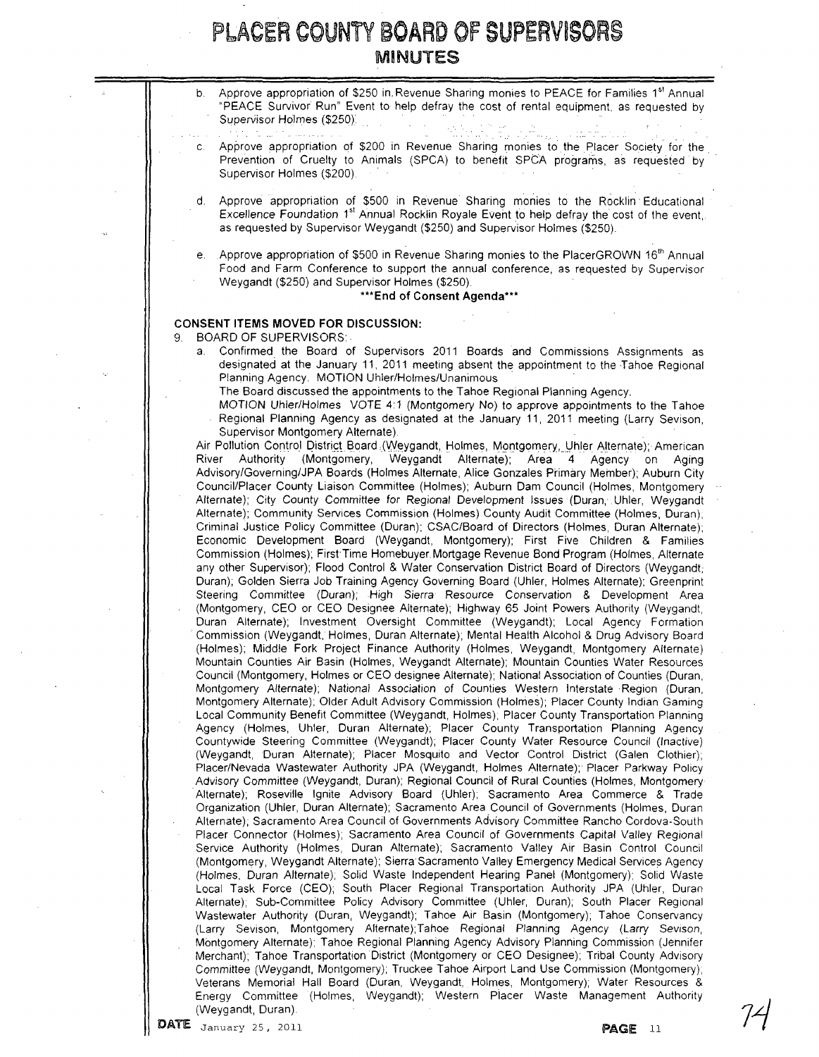b. Approve appropriation of \$250 in. Revenue Sharing monies to PEACE for Families 1<sup>st</sup> Annual "PEACE Survivor Run" Event to help defray the cost of rental equipment, as requested by Supervisor Holmes (\$250). ..... ' .' . . ... c. Approve appropriation of \$200 in Revenue Sharing rnoniesto the Placer Society for the. Prevention of Cruelty to Animals (SPCA) to benefit SPCA programs, as requested by Supervisor Holmes (\$200). d. Approve appropriation of \$500 in Revenue Sharing monies to the Rocklin' Educational Excellence Foundation 1<sup>st</sup> Annual Rocklin Royale Event to help defray the cost of the event, as requested by Supervisor Weygandt (\$250) and Supervisor Holmes (\$250). Approve appropriation of \$500 in Revenue Sharing monies to the PlacerGROWN 16<sup>th</sup> Annual Food and Farm Conference to support the annual conference, as requested by Supervisor Weygandt (\$250) and Supervisor Holmes (\$250) \*\*\*End of Consent Agenda\*\*\* CONSENT ITEMS MOVED FOR DISCUSSION: 9. BOARD OF SUPERVISORS Confirmed the Board of Supervisors 2011 Boards and Commissions Assignments as designated at the January 11, 2011 meeting absent the appointment to the Tahoe Regional Planning Agency. MOTION Uhler/Holmes/Unanimous . The Board discussed the appointments to the Tahoe Regional Planning Agency. MOTION Uhler/Holmes VOTE 4:1 (Montgomery No) to approve appointments to the Tahoe Regional Planning Agency as designated at the January 11, 2011 meeting (Larry Sevison, Supervisor Montgomery Alternate) Air Pollution Control District Board (Weygandt, Holmes, Montgomery, Uhler Alternate); American<br>River Authority (Montgomery, Weygandt Alternate); Area 4 Agency on Aging River Authority (Montgomery, Weygandt Alternate); Area 4 Agency on Aging Advisory/Governing/JPA Boards (Holmes Alternate, Alice Gonzales Primary Member); Auburn City Council/Placer County Liaison Committee (Holmes); Auburn Dam Council (Holmes, Montgomery Alternate); City County Committee for Regional Development Issues (Duran, Uhler, Weygandt Alternate); Community Services Commission (Holmes) County Audit Committee (Holmes, Duran); Criminal Justice Policy Committee (Duran); CSAC/Board of Directors (Holmes, Duran Alternate); Economic Development Board (Weygandt, Montgomery); First Five Children & Families Commission (Holmes); First Time Homebuyer. Mortgage Revenue Bond Program (Holmes, Alternate any other Supervisor); Flood Control & Water Conservation District Board of Directors (Weygandt; Duran); Golden Sierra Job Training Agency Governing Board (Uhler, Holmes Alternate); Greenprint Steering Committee (Duran); High Sierra Resource Conservation & Development Area (Montgomery, CEO or CEO Designee Alternate); Highway 65 Joint Powers Authority (Weygandt, Duran Alternate); Investment OverSight Committee (Weygandt); Local Agency Formation Commission (Weygandt, Holmes, Duran Alternate); Mental Health Alcohol & Drug Advisory Board (Holmes); Middle Fork Project Finance Authority (Holmes, Weygandt, Montgomery Alternate) Mountain Counties Air Basin (Holmes, Weygandt Alternate); Mountain Counties Water Resources Council (Montgomery, Holmes or CEO designee Alternate); National Association of Counties (Duran, Montgomery Alternate); National ASSOCiation of Counties Western Interstate Region (Duran, Montgomery Alternate); Older Adult Advisory Commission (Holmes); Placer County Indian Gaming Local Community Benefit Committee (Weygandt, Holmes); Placer County Transportation Planning Agency (Holmes, Uhler, Duran Alternate); Placer County Transportation Planning Agency Countywide Steering Committee (Weygandt); Placer County Water Resource Council (Inactive) (Weygandt, Duran Alternate); Placer Mosquito and Vector Control District (Galen Clothier); Placer/Nevada Wastewater Authority JPA (Weygandt, Holmes Alternate); Placer Parkway Policy Advisory Committee (Weygandt, Duran); Regional Council of Rural Counties (Holmes, Montgomery Alternate); Roseville Ignite Advisory Board (Uhler); Sacramento Area Commerce & Trade Organization (Uhler, Duran Alternate); Sacramento Area Council of Governments (Holmes, Duran Alternate); Sacramento Area Council of Governments Advisory Committee Rancho Cordova-South Placer Connector (Holmes); Sacramento Area Council of Governments Capital Valley Regional Service Authority (Holmes, Duran Alternate); Sacramento Valley Air Basin Control Council (Montgomery, Weygandt Alternate); Sierra Sacramento Valley Emergency Medical Services Agency (Holmes, Duran Alternate); Solid Waste Independent Hearing Panel (Montgomery); Solid Waste Local Task Force (CEO); South Placer Regional Transportation Authority JPA (Uhler, Duran Alternate); Sub-Committee Policy Advisory Committee (Uhler, Duran); South Placer Regional Wastewater Authority (Duran, Weygandt); Tahoe Air Basin (Montgomery); Tahoe Conservancy (Larry Sevison, Montgomery Alternate);Tahoe Regional Planning Agency (Larry Sevison, MOntgomery Alternate); Tahoe Regional Planning Agency AdviSOry Planning Commission (Jennifer Merchant); Tahoe Transportation District (Montgomery or CEO Designee); Tribal County Advisory Committee (Weygandt, Montgomery); Truckee Tahoe Airport Land Use Commission (Montgomery); Veterans Memorial Hall Board (Duran, Weygandt, Holmes, Montgomery); Water Resources & Energy Committee (Holmes, Weygandt); Western Piacer Waste Management Authority (Weygandt, Duran).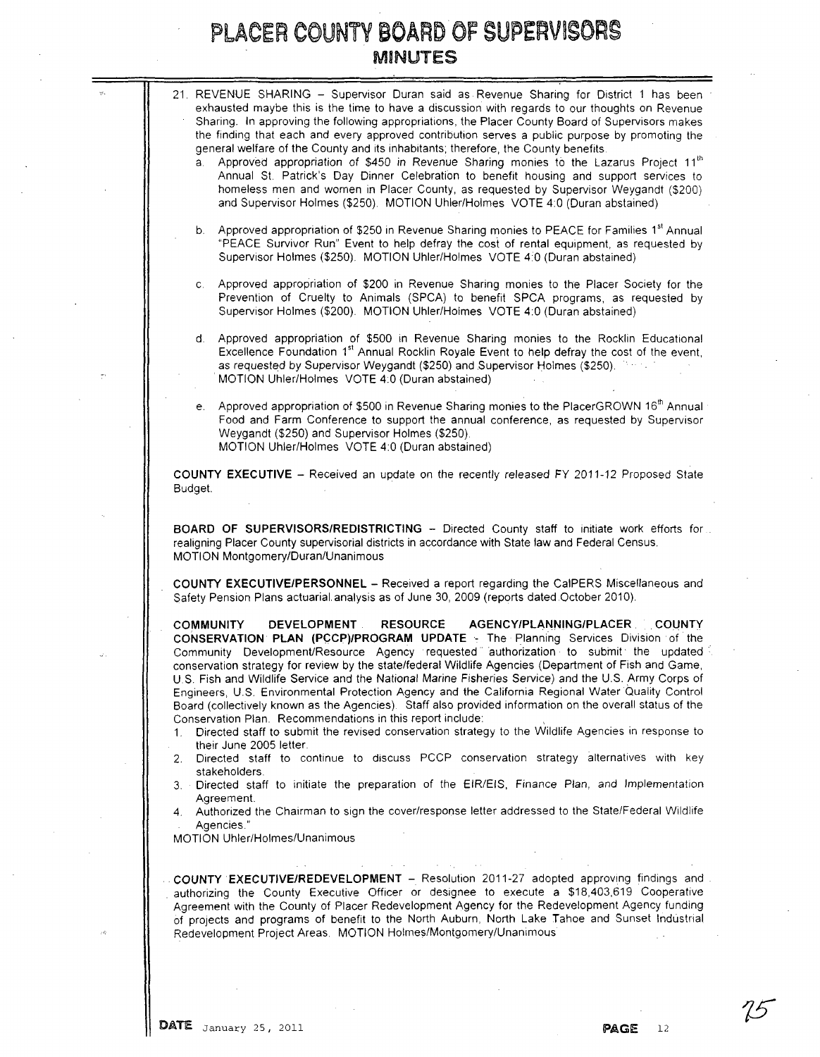|    | 21. REVENUE SHARING - Supervisor Duran said as Revenue Sharing for District 1 has been<br>exhausted maybe this is the time to have a discussion with regards to our thoughts on Revenue<br>Sharing. In approving the following appropriations, the Placer County Board of Supervisors makes<br>the finding that each and every approved contribution serves a public purpose by promoting the<br>general welfare of the County and its inhabitants; therefore, the County benefits.<br>Approved appropriation of \$450 in Revenue Sharing monies to the Lazarus Project 11 <sup>th</sup><br>a.                                                                                                                                                                                                                                                                             |
|----|----------------------------------------------------------------------------------------------------------------------------------------------------------------------------------------------------------------------------------------------------------------------------------------------------------------------------------------------------------------------------------------------------------------------------------------------------------------------------------------------------------------------------------------------------------------------------------------------------------------------------------------------------------------------------------------------------------------------------------------------------------------------------------------------------------------------------------------------------------------------------|
|    | Annual St. Patrick's Day Dinner Celebration to benefit housing and support services to<br>homeless men and women in Placer County, as requested by Supervisor Weygandt (\$200)<br>and Supervisor Holmes (\$250). MOTION Uhler/Holmes VOTE 4:0 (Duran abstained)                                                                                                                                                                                                                                                                                                                                                                                                                                                                                                                                                                                                            |
|    | Approved appropriation of \$250 in Revenue Sharing monies to PEACE for Families 1 <sup>st</sup> Annual<br>b.<br>"PEACE Survivor Run" Event to help defray the cost of rental equipment, as requested by<br>Supervisor Holmes (\$250). MOTION Uhler/Holmes VOTE 4:0 (Duran abstained)                                                                                                                                                                                                                                                                                                                                                                                                                                                                                                                                                                                       |
|    | Approved appropriation of \$200 in Revenue Sharing monies to the Placer Society for the<br>C.<br>Prevention of Cruelty to Animals (SPCA) to benefit SPCA programs, as requested by<br>Supervisor Holmes (\$200). MOTION Uhler/Holmes VOTE 4:0 (Duran abstained)                                                                                                                                                                                                                                                                                                                                                                                                                                                                                                                                                                                                            |
|    | Approved appropriation of \$500 in Revenue Sharing monies to the Rocklin Educational<br>d.<br>Excellence Foundation 1st Annual Rocklin Royale Event to help defray the cost of the event,<br>as requested by Supervisor Weygandt (\$250) and Supervisor Holmes (\$250).<br>MOTION Uhler/Holmes VOTE 4:0 (Duran abstained)                                                                                                                                                                                                                                                                                                                                                                                                                                                                                                                                                  |
|    | Approved appropriation of \$500 in Revenue Sharing monies to the PlacerGROWN 16th Annual<br>е. –<br>Food and Farm Conference to support the annual conference, as requested by Supervisor<br>Weygandt (\$250) and Supervisor Holmes (\$250).                                                                                                                                                                                                                                                                                                                                                                                                                                                                                                                                                                                                                               |
|    | MOTION Uhler/Holmes VOTE 4:0 (Duran abstained)                                                                                                                                                                                                                                                                                                                                                                                                                                                                                                                                                                                                                                                                                                                                                                                                                             |
|    | COUNTY EXECUTIVE - Received an update on the recently released FY 2011-12 Proposed State<br>Budget.                                                                                                                                                                                                                                                                                                                                                                                                                                                                                                                                                                                                                                                                                                                                                                        |
|    | <b>BOARD OF SUPERVISORS/REDISTRICTING - Directed County staff to initiate work efforts for</b><br>realigning Placer County supervisorial districts in accordance with State law and Federal Census.<br>MOTION Montgomery/Duran/Unanimous                                                                                                                                                                                                                                                                                                                                                                                                                                                                                                                                                                                                                                   |
|    | <b>COUNTY EXECUTIVE/PERSONNEL - Received a report regarding the CalPERS Miscellaneous and</b><br>Safety Pension Plans actuarial analysis as of June 30, 2009 (reports dated October 2010).                                                                                                                                                                                                                                                                                                                                                                                                                                                                                                                                                                                                                                                                                 |
| 1. | AGENCY/PLANNING/PLACER COUNTY<br><b>COMMUNITY</b><br><b>DEVELOPMENT</b><br><b>RESOURCE</b><br>CONSERVATION PLAN (PCCP)/PROGRAM UPDATE - The Planning Services Division of the<br>Community Development/Resource Agency requested authorization to submit the updated<br>conservation strategy for review by the state/federal Wildlife Agencies (Department of Fish and Game,<br>U.S. Fish and Wildlife Service and the National Marine Fisheries Service) and the U.S. Army Corps of<br>Engineers, U.S. Environmental Protection Agency and the California Regional Water Quality Control<br>Board (collectively known as the Agencies). Staff also provided information on the overall status of the<br>Conservation Plan. Recommendations in this report include:<br>Directed staff to submit the revised conservation strategy to the Wildlife Agencies in response to |
| 2. | their June 2005 letter.<br>Directed staff to continue to discuss PCCP conservation strategy alternatives with key<br>stakeholders.                                                                                                                                                                                                                                                                                                                                                                                                                                                                                                                                                                                                                                                                                                                                         |
|    | 3. Directed staff to initiate the preparation of the EIR/EIS, Finance Plan, and Implementation<br>Agreement.<br>4. Authorized the Chairman to sign the cover/response letter addressed to the State/Federal Wildlife                                                                                                                                                                                                                                                                                                                                                                                                                                                                                                                                                                                                                                                       |

authorizing the County Executive Officer or designee to execute a \$18,403,619 Cooperative Agreement with the County of Placer Redevelopment Agency for the Redevelopment Agency funding of projects and programs of benefit to the North Auburn, North Lake Tahoe and Sunset Industrial Redevelopment Project Areas. MOTION Holmes/Montgomery/Unanimous

ų.

75